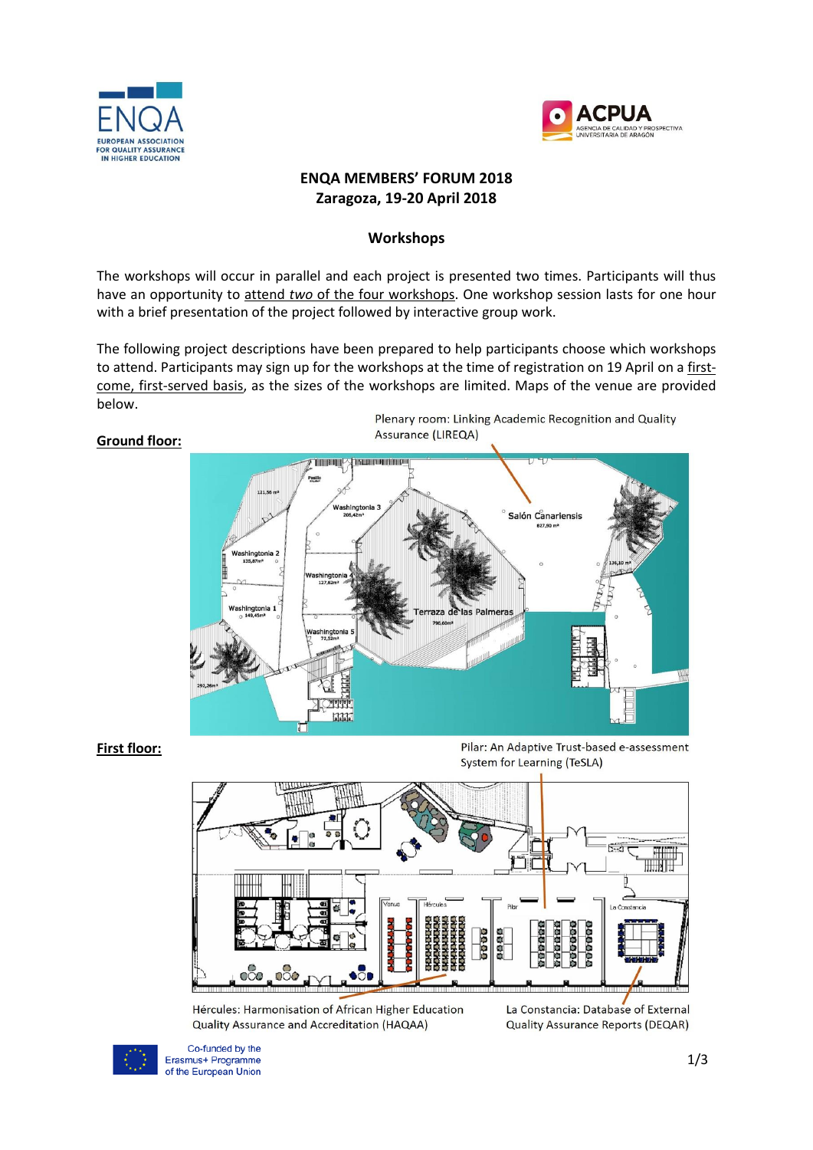



# **ENQA MEMBERS' FORUM 2018 Zaragoza, 19-20 April 2018**

# **Workshops**

The workshops will occur in parallel and each project is presented two times. Participants will thus have an opportunity to attend *two* of the four workshops. One workshop session lasts for one hour with a brief presentation of the project followed by interactive group work.

The following project descriptions have been prepared to help participants choose which workshops to attend. Participants may sign up for the workshops at the time of registration on 19 April on a firstcome, first-served basis, as the sizes of the workshops are limited. Maps of the venue are provided below.

## **Ground floor:**

Plenary room: Linking Academic Recognition and Quality Assurance (LIREQA)



# **First floor:**







La Constancia: Database of External **Quality Assurance Reports (DEQAR)** 



Co-funded by the Erasmus+ Programme of the European Union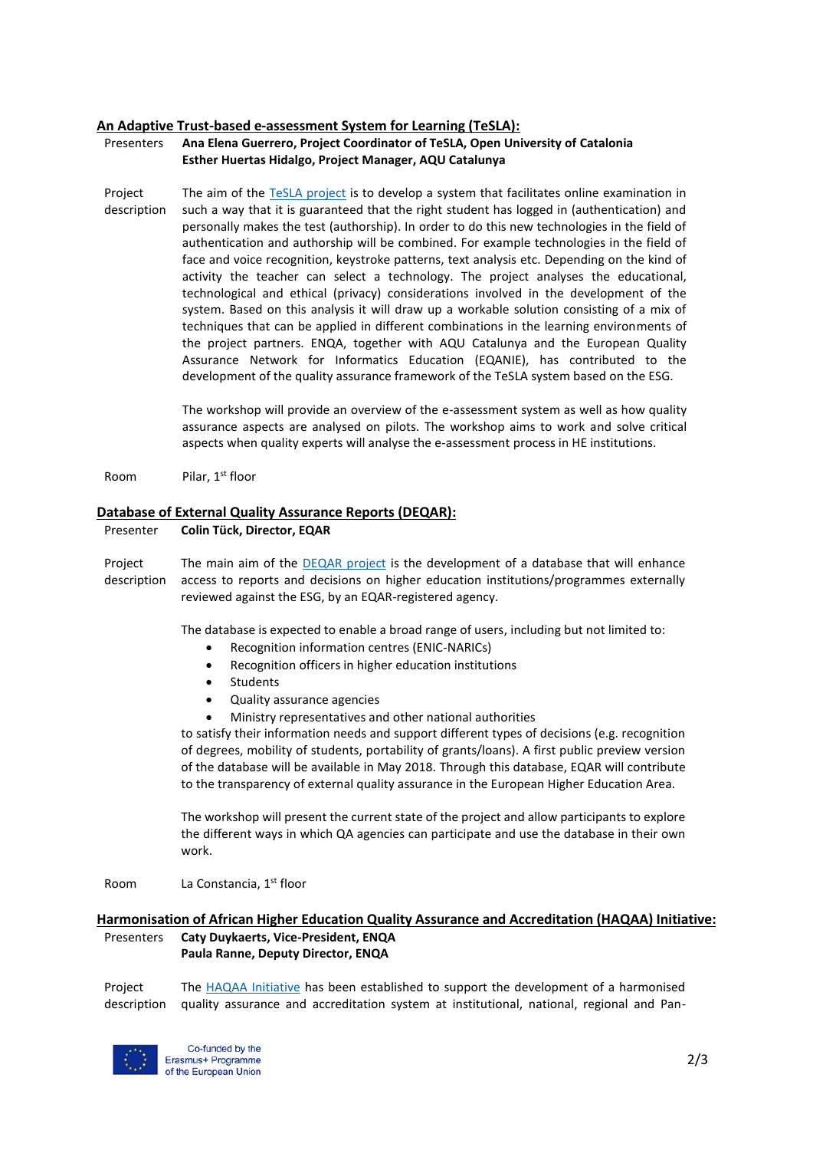### **An Adaptive Trust-based e-assessment System for Learning (TeSLA):**

- Presenters **Ana Elena Guerrero, Project Coordinator of TeSLA, Open University of Catalonia Esther Huertas Hidalgo, Project Manager, AQU Catalunya**
- Project description The aim of the [TeSLA project](http://tesla-project.eu/) is to develop a system that facilitates online examination in such a way that it is guaranteed that the right student has logged in (authentication) and personally makes the test (authorship). In order to do this new technologies in the field of authentication and authorship will be combined. For example technologies in the field of face and voice recognition, keystroke patterns, text analysis etc. Depending on the kind of activity the teacher can select a technology. The project analyses the educational, technological and ethical (privacy) considerations involved in the development of the system. Based on this analysis it will draw up a workable solution consisting of a mix of techniques that can be applied in different combinations in the learning environments of the project partners. ENQA, together with AQU Catalunya and the European Quality Assurance Network for Informatics Education (EQANIE), has contributed to the development of the quality assurance framework of the TeSLA system based on the ESG.

The workshop will provide an overview of the e-assessment system as well as how quality assurance aspects are analysed on pilots. The workshop aims to work and solve critical aspects when quality experts will analyse the e-assessment process in HE institutions.

Room Pilar, 1<sup>st</sup> floor

#### **Database of External Quality Assurance Reports (DEQAR):**

#### Presenter **Colin Tück, Director, EQAR**

Project description The main aim of the [DEQAR project](https://www.eqar.eu/topics/deqar.html) is the development of a database that will enhance access to reports and decisions on higher education institutions/programmes externally reviewed against the ESG, by an EQAR-registered agency.

The database is expected to enable a broad range of users, including but not limited to:

- Recognition information centres (ENIC-NARICs)
- Recognition officers in higher education institutions
- Students
- Quality assurance agencies
- Ministry representatives and other national authorities

to satisfy their information needs and support different types of decisions (e.g. recognition of degrees, mobility of students, portability of grants/loans). A first public preview version of the database will be available in May 2018. Through this database, EQAR will contribute to the transparency of external quality assurance in the European Higher Education Area.

The workshop will present the current state of the project and allow participants to explore the different ways in which QA agencies can participate and use the database in their own work.

Room La Constancia, 1<sup>st</sup> floor

### **Harmonisation of African Higher Education Quality Assurance and Accreditation (HAQAA) Initiative:** Presenters **Caty Duykaerts, Vice-President, ENQA Paula Ranne, Deputy Director, ENQA**

Project description The [HAQAA Initiative](https://haqaa.aau.org/) has been established to support the development of a harmonised quality assurance and accreditation system at institutional, national, regional and Pan-



Co-funded by the Erasmus+ Programme of the European Union